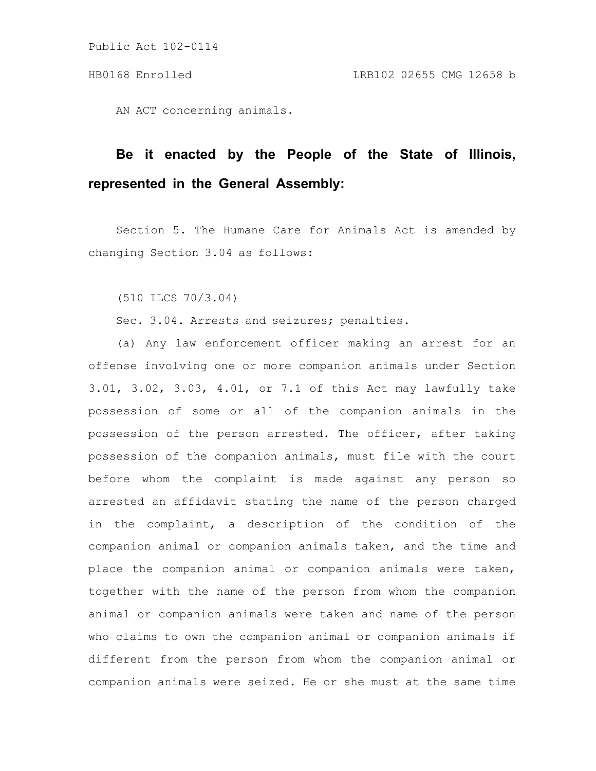Public Act 102-0114

AN ACT concerning animals.

## **Be it enacted by the People of the State of Illinois, represented in the General Assembly:**

Section 5. The Humane Care for Animals Act is amended by changing Section 3.04 as follows:

(510 ILCS 70/3.04)

Sec. 3.04. Arrests and seizures; penalties.

(a) Any law enforcement officer making an arrest for an offense involving one or more companion animals under Section 3.01, 3.02, 3.03, 4.01, or 7.1 of this Act may lawfully take possession of some or all of the companion animals in the possession of the person arrested. The officer, after taking possession of the companion animals, must file with the court before whom the complaint is made against any person so arrested an affidavit stating the name of the person charged in the complaint, a description of the condition of the companion animal or companion animals taken, and the time and place the companion animal or companion animals were taken, together with the name of the person from whom the companion animal or companion animals were taken and name of the person who claims to own the companion animal or companion animals if different from the person from whom the companion animal or companion animals were seized. He or she must at the same time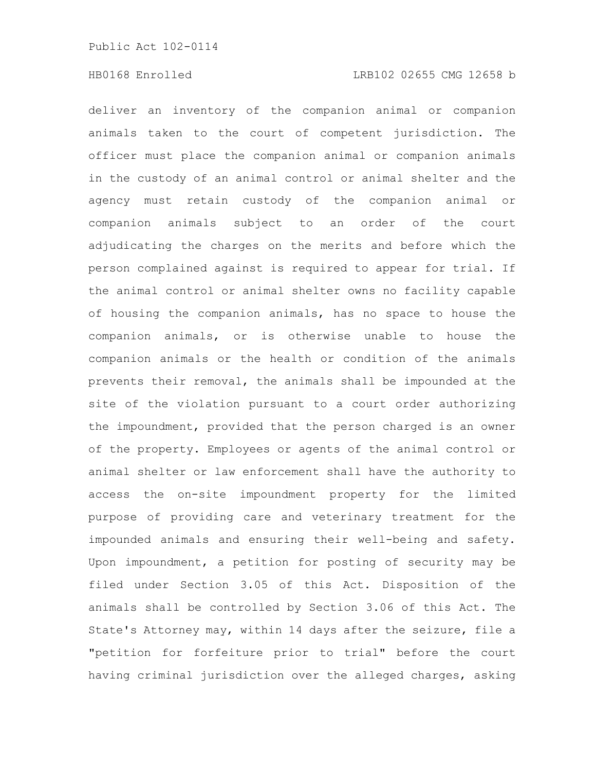## HB0168 Enrolled LRB102 02655 CMG 12658 b

deliver an inventory of the companion animal or companion animals taken to the court of competent jurisdiction. The officer must place the companion animal or companion animals in the custody of an animal control or animal shelter and the agency must retain custody of the companion animal or companion animals subject to an order of the court adjudicating the charges on the merits and before which the person complained against is required to appear for trial. If the animal control or animal shelter owns no facility capable of housing the companion animals, has no space to house the companion animals, or is otherwise unable to house the companion animals or the health or condition of the animals prevents their removal, the animals shall be impounded at the site of the violation pursuant to a court order authorizing the impoundment, provided that the person charged is an owner of the property. Employees or agents of the animal control or animal shelter or law enforcement shall have the authority to access the on-site impoundment property for the limited purpose of providing care and veterinary treatment for the impounded animals and ensuring their well-being and safety. Upon impoundment, a petition for posting of security may be filed under Section 3.05 of this Act. Disposition of the animals shall be controlled by Section 3.06 of this Act. The State's Attorney may, within 14 days after the seizure, file a "petition for forfeiture prior to trial" before the court having criminal jurisdiction over the alleged charges, asking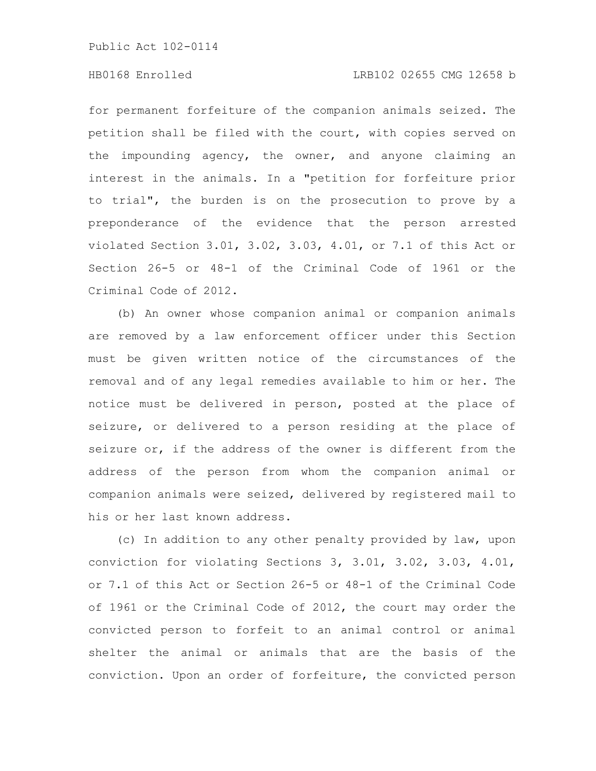Public Act 102-0114

## HB0168 Enrolled LRB102 02655 CMG 12658 b

for permanent forfeiture of the companion animals seized. The petition shall be filed with the court, with copies served on the impounding agency, the owner, and anyone claiming an interest in the animals. In a "petition for forfeiture prior to trial", the burden is on the prosecution to prove by a preponderance of the evidence that the person arrested violated Section 3.01, 3.02, 3.03, 4.01, or 7.1 of this Act or Section 26-5 or 48-1 of the Criminal Code of 1961 or the Criminal Code of 2012.

(b) An owner whose companion animal or companion animals are removed by a law enforcement officer under this Section must be given written notice of the circumstances of the removal and of any legal remedies available to him or her. The notice must be delivered in person, posted at the place of seizure, or delivered to a person residing at the place of seizure or, if the address of the owner is different from the address of the person from whom the companion animal or companion animals were seized, delivered by registered mail to his or her last known address.

(c) In addition to any other penalty provided by law, upon conviction for violating Sections 3, 3.01, 3.02, 3.03, 4.01, or 7.1 of this Act or Section 26-5 or 48-1 of the Criminal Code of 1961 or the Criminal Code of 2012, the court may order the convicted person to forfeit to an animal control or animal shelter the animal or animals that are the basis of the conviction. Upon an order of forfeiture, the convicted person